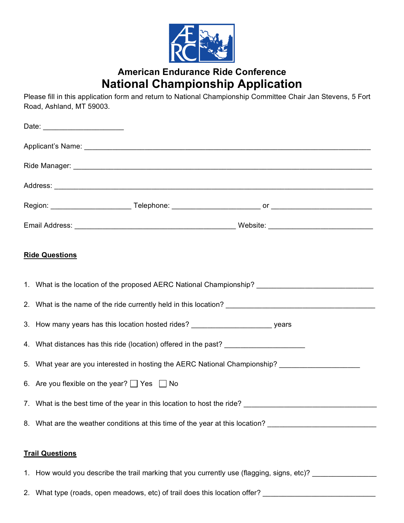

## **American Endurance Ride Conference National Championship Application**

Please fill in this application form and return to National Championship Committee Chair Jan Stevens, 5 Fort Road, Ashland, MT 59003.

| <b>Ride Questions</b> |                                                                                                                      |  |  |  |  |
|-----------------------|----------------------------------------------------------------------------------------------------------------------|--|--|--|--|
|                       | 1. What is the location of the proposed AERC National Championship? ________________________________                 |  |  |  |  |
|                       |                                                                                                                      |  |  |  |  |
|                       | 3. How many years has this location hosted rides? _______________________________ years                              |  |  |  |  |
|                       | 4. What distances has this ride (location) offered in the past?                                                      |  |  |  |  |
|                       | 5. What year are you interested in hosting the AERC National Championship?                                           |  |  |  |  |
|                       | 6. Are you flexible on the year? $\Box$ Yes $\Box$ No                                                                |  |  |  |  |
|                       | 7. What is the best time of the year in this location to host the ride?                                              |  |  |  |  |
|                       | 8. What are the weather conditions at this time of the year at this location?                                        |  |  |  |  |
|                       | <b>Trail Questions</b><br>1. How would you describe the trail marking that you currently use (flagging, signs, etc)? |  |  |  |  |
|                       | 2. What type (roads, open meadows, etc) of trail does this location offer? _________________________                 |  |  |  |  |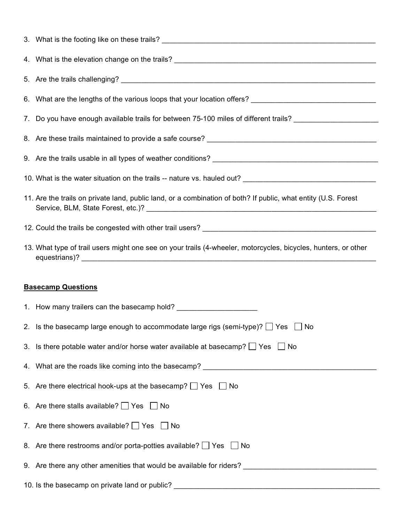| 6. What are the lengths of the various loops that your location offers? __________________________________     |
|----------------------------------------------------------------------------------------------------------------|
| 7. Do you have enough available trails for between 75-100 miles of different trails? _________________________ |
|                                                                                                                |
|                                                                                                                |
|                                                                                                                |
| 11. Are the trails on private land, public land, or a combination of both? If public, what entity (U.S. Forest |
|                                                                                                                |
| 13. What type of trail users might one see on your trails (4-wheeler, motorcycles, bicycles, hunters, or other |
|                                                                                                                |
|                                                                                                                |
| <b>Basecamp Questions</b>                                                                                      |
|                                                                                                                |
| 2. Is the basecamp large enough to accommodate large rigs (semi-type)? $\Box$ Yes $\Box$ No                    |
| 3. Is there potable water and/or horse water available at basecamp? $\Box$ Yes $\Box$ No                       |
| 4. What are the roads like coming into the basecamp? ____________________________                              |
| 5. Are there electrical hook-ups at the basecamp? $\Box$ Yes $\Box$ No                                         |
| 6. Are there stalls available? $\Box$ Yes $\Box$ No                                                            |
| 7. Are there showers available? $\Box$ Yes $\Box$ No                                                           |
| 8. Are there restrooms and/or porta-potties available? $\Box$ Yes $\Box$ No                                    |
|                                                                                                                |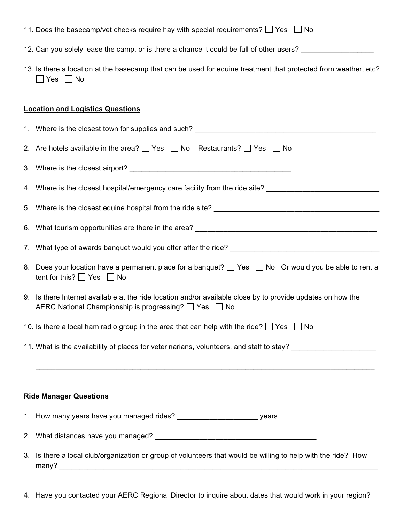| 11. Does the basecamp/vet checks require hay with special requirements? $\Box$ Yes $\Box$ No |  |  |
|----------------------------------------------------------------------------------------------|--|--|
|----------------------------------------------------------------------------------------------|--|--|

- 12. Can you solely lease the camp, or is there a chance it could be full of other users? \_\_\_\_\_\_\_\_\_\_\_\_\_\_\_\_\_\_\_\_
- 13. Is there a location at the basecamp that can be used for equine treatment that protected from weather, etc?  $\Box$  Yes  $\Box$  No

## **Location and Logistics Questions**

| 1. Where is the closest town for supplies and such? The contract of the contract of the contract of the contract of the contract of the contract of the contract of the contract of the contract of the contract of the contra |
|--------------------------------------------------------------------------------------------------------------------------------------------------------------------------------------------------------------------------------|
| 2. Are hotels available in the area? $\Box$ Yes $\Box$ No Restaurants? $\Box$ Yes $\Box$ No                                                                                                                                    |
|                                                                                                                                                                                                                                |
| 4. Where is the closest hospital/emergency care facility from the ride site? _________________________________                                                                                                                 |
|                                                                                                                                                                                                                                |
|                                                                                                                                                                                                                                |
|                                                                                                                                                                                                                                |
| 8. Does your location have a permanent place for a banquet? □ Yes □ No Or would you be able to rent a<br>tent for this? $\Box$ Yes $\Box$ No                                                                                   |
| 9. Is there Internet available at the ride location and/or available close by to provide updates on how the<br>AERC National Championship is progressing? □ Yes □ No                                                           |
| 10. Is there a local ham radio group in the area that can help with the ride? $\Box$ Yes $\Box$ No                                                                                                                             |
| 11. What is the availability of places for veterinarians, volunteers, and staff to stay?                                                                                                                                       |
|                                                                                                                                                                                                                                |
| <b>Ride Manager Questions</b>                                                                                                                                                                                                  |
|                                                                                                                                                                                                                                |
|                                                                                                                                                                                                                                |
| 3. Is there a local club/organization or group of volunteers that would be willing to help with the ride? How<br>many?                                                                                                         |

4. Have you contacted your AERC Regional Director to inquire about dates that would work in your region?